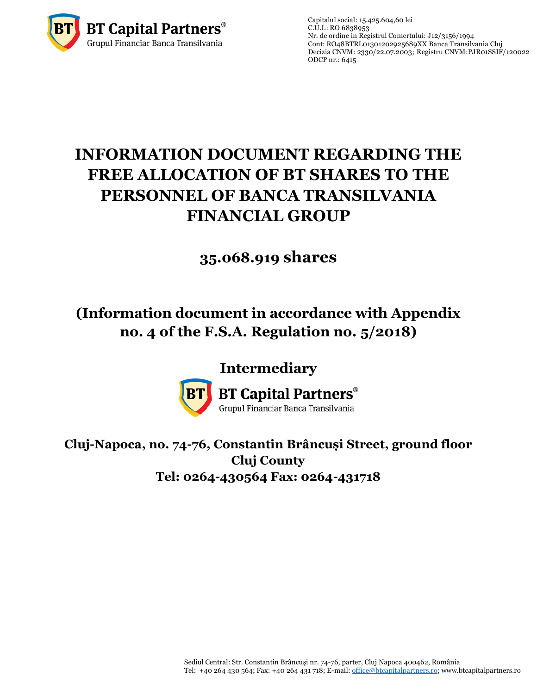

Capitalul social: 15.425.604,60 lei  $C.\overline{U}$ .I.: RO 6838953 Nr. de ordine in Registrul Comertului: J12/3156/1994 Cont: RO48BTRL01301202925689XX Banca Transilvania Cluj Decizia CNVM: 2330/22.07.2003; Registru CNVM[:PJR01SSIF/120022](http://asfromania.ro/registru/detalii.php?id=11&nrcnvm=PJR01SSIF/120022&lng=1) ODCP nr.: 6415

# **INFORMATION DOCUMENT REGARDING THE FREE ALLOCATION OF BT SHARES TO THE PERSONNEL OF BANCA TRANSILVANIA FINANCIAL GROUP**

## **35.068.919 shares**

## **(Information document in accordance with Appendix no. 4 of the F.S.A. Regulation no. 5/2018)**

### **Intermediary**



**BT Capital Partners**® Grupul Financiar Banca Transilvania

**Cluj-Napoca, no. 74-76, Constantin Brâncuși Street, ground floor Cluj County Tel: 0264-430564 Fax: 0264-431718**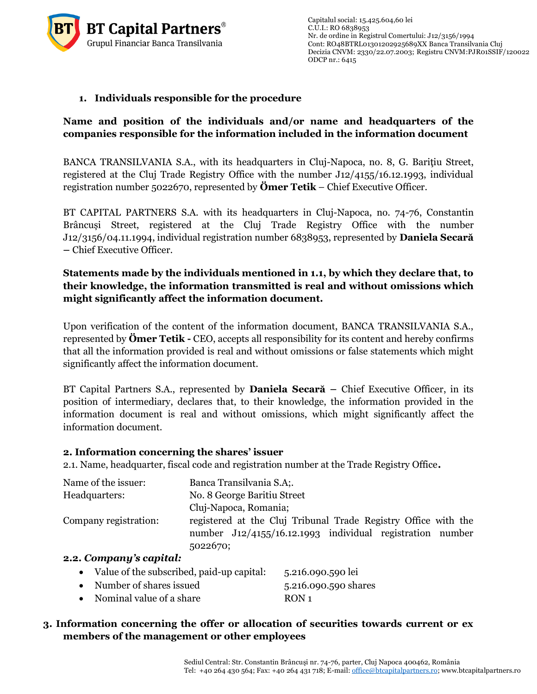

#### **1. Individuals responsible for the procedure**

#### **Name and position of the individuals and/or name and headquarters of the companies responsible for the information included in the information document**

BANCA TRANSILVANIA S.A., with its headquarters in Cluj-Napoca, no. 8, G. Bariţiu Street, registered at the Cluj Trade Registry Office with the number J12/4155/16.12.1993, individual registration number 5022670, represented by **Ömer Tetik** – Chief Executive Officer.

BT CAPITAL PARTNERS S.A. with its headquarters in Cluj-Napoca, no. 74-76, Constantin Brâncuși Street, registered at the Cluj Trade Registry Office with the number J12/3156/04.11.1994, individual registration number 6838953, represented by **Daniela Secară –** Chief Executive Officer.

#### **Statements made by the individuals mentioned in 1.1, by which they declare that, to their knowledge, the information transmitted is real and without omissions which might significantly affect the information document.**

Upon verification of the content of the information document, BANCA TRANSILVANIA S.A., represented by **Ömer Tetik -** CEO, accepts all responsibility for its content and hereby confirms that all the information provided is real and without omissions or false statements which might significantly affect the information document.

BT Capital Partners S.A., represented by **Daniela Secară –** Chief Executive Officer, in its position of intermediary, declares that, to their knowledge, the information provided in the information document is real and without omissions, which might significantly affect the information document.

#### **2. Information concerning the shares' issuer**

2.1. Name, headquarter, fiscal code and registration number at the Trade Registry Office**.**

| Name of the issuer:   | Banca Transilvania S.A;                                        |
|-----------------------|----------------------------------------------------------------|
| Headquarters:         | No. 8 George Baritiu Street                                    |
|                       | Cluj-Napoca, Romania;                                          |
| Company registration: | registered at the Cluj Tribunal Trade Registry Office with the |
|                       | number J12/4155/16.12.1993 individual registration number      |
|                       | 5022670;                                                       |
|                       |                                                                |

#### **2.2.** *Company's capital:*

|  | Value of the subscribed, paid-up capital: | 5.216.090.590 lei |
|--|-------------------------------------------|-------------------|
|--|-------------------------------------------|-------------------|

| Number of shares issued  | 5.216.090.590 shares |
|--------------------------|----------------------|
| Nominal value of a share | RON <sub>1</sub>     |

#### **3. Information concerning the offer or allocation of securities towards current or ex members of the management or other employees**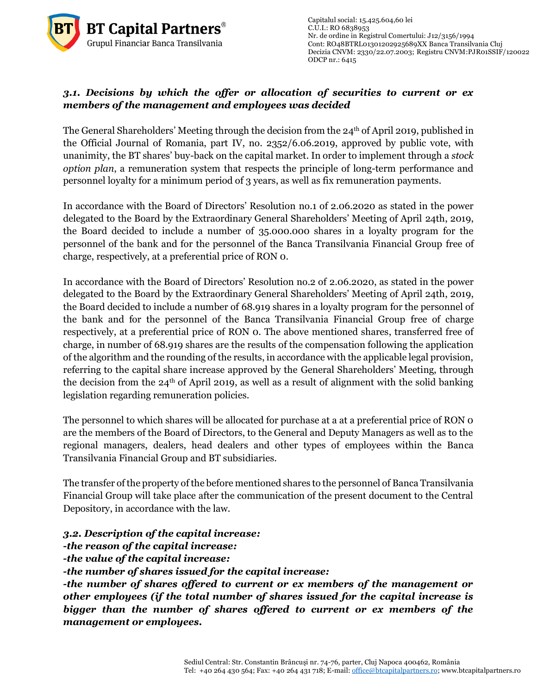

Capitalul social: 15.425.604,60 lei  $C.U.I.: RO 6838953$ Nr. de ordine in Registrul Comertului: J12/3156/1994 Cont: RO48BTRL01301202925689XX Banca Transilvania Cluj Decizia CNVM: 2330/22.07.2003; Registru CNVM[:PJR01SSIF/120022](http://asfromania.ro/registru/detalii.php?id=11&nrcnvm=PJR01SSIF/120022&lng=1) ODCP nr.: 6415

#### *3.1. Decisions by which the offer or allocation of securities to current or ex members of the management and employees was decided*

The General Shareholders' Meeting through the decision from the 24<sup>th</sup> of April 2019, published in the Official Journal of Romania, part IV, no. 2352/6.06.2019, approved by public vote, with unanimity, the BT shares' buy-back on the capital market. In order to implement through a *stock option plan*, a remuneration system that respects the principle of long-term performance and personnel loyalty for a minimum period of 3 years, as well as fix remuneration payments.

> In accordance with the Board of Directors' Resolution no.1 of 2.06.2020 as stated in the power delegated to the Board by the Extraordinary General Shareholders' Meeting of April 24th, 2019, the Board decided to include a number of 35.000.000 shares in a loyalty program for the personnel of the bank and for the personnel of the Banca Transilvania Financial Group free of charge, respectively, at a preferential price of RON 0.

> In accordance with the Board of Directors' Resolution no.2 of 2.06.2020, as stated in the power delegated to the Board by the Extraordinary General Shareholders' Meeting of April 24th, 2019, the Board decided to include a number of 68.919 shares in a loyalty program for the personnel of the bank and for the personnel of the Banca Transilvania Financial Group free of charge respectively, at a preferential price of RON 0. The above mentioned shares, transferred free of charge, in number of 68.919 shares are the results of the compensation following the application of the algorithm and the rounding of the results, in accordance with the applicable legal provision, referring to the capital share increase approved by the General Shareholders' Meeting, through the decision from the  $24<sup>th</sup>$  of April 2019, as well as a result of alignment with the solid banking legislation regarding remuneration policies.

> The personnel to which shares will be allocated for purchase at a at a preferential price of RON o are the members of the Board of Directors, to the General and Deputy Managers as well as to the regional managers, dealers, head dealers and other types of employees within the Banca Transilvania Financial Group and BT subsidiaries.

> The transfer of the property of the before mentioned shares to the personnel of Banca Transilvania Financial Group will take place after the communication of the present document to the Central Depository, in accordance with the law.

*3.2. Description of the capital increase:*

*-the reason of the capital increase:*

*-the value of the capital increase:* 

*-the number of shares issued for the capital increase:*

*-the number of shares offered to current or ex members of the management or other employees (if the total number of shares issued for the capital increase is bigger than the number of shares offered to current or ex members of the management or employees.*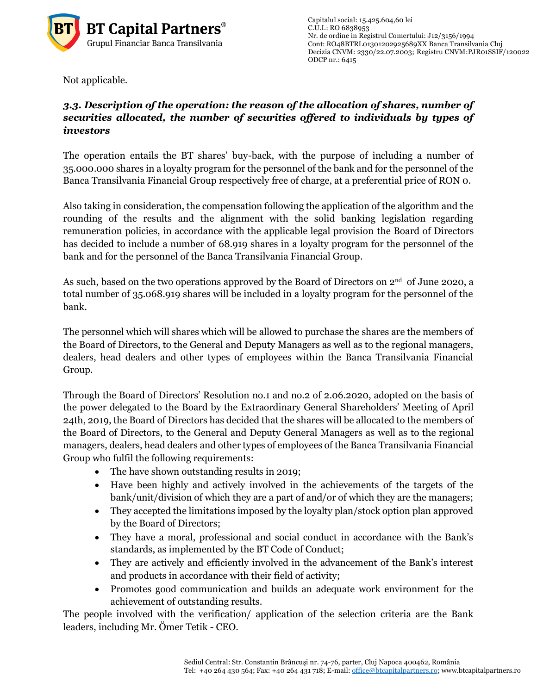

Capitalul social: 15.425.604,60 lei  $C.\overline{U}$ .I.: RO 6838953 Nr. de ordine in Registrul Comertului: J12/3156/1994 Cont: RO48BTRL01301202925689XX Banca Transilvania Cluj Decizia CNVM: 2330/22.07.2003; Registru CNVM[:PJR01SSIF/120022](http://asfromania.ro/registru/detalii.php?id=11&nrcnvm=PJR01SSIF/120022&lng=1) ODCP nr.: 6415

Not applicable.

#### *3.3. Description of the operation: the reason of the allocation of shares, number of securities allocated, the number of securities offered to individuals by types of investors*

The operation entails the BT shares' buy-back, with the purpose of including a number of 35.000.000 shares in a loyalty program for the personnel of the bank and for the personnel of the Banca Transilvania Financial Group respectively free of charge, at a preferential price of RON 0.

Also taking in consideration, the compensation following the application of the algorithm and the rounding of the results and the alignment with the solid banking legislation regarding remuneration policies, in accordance with the applicable legal provision the Board of Directors has decided to include a number of 68.919 shares in a loyalty program for the personnel of the bank and for the personnel of the Banca Transilvania Financial Group.

As such, based on the two operations approved by the Board of Directors on 2<sup>nd</sup> of June 2020, a total number of 35.068.919 shares will be included in a loyalty program for the personnel of the bank.

The personnel which will shares which will be allowed to purchase the shares are the members of the Board of Directors, to the General and Deputy Managers as well as to the regional managers, dealers, head dealers and other types of employees within the Banca Transilvania Financial Group.

Through the Board of Directors' Resolution no.1 and no.2 of 2.06.2020, adopted on the basis of the power delegated to the Board by the Extraordinary General Shareholders' Meeting of April 24th, 2019, the Board of Directors has decided that the shares will be allocated to the members of the Board of Directors, to the General and Deputy General Managers as well as to the regional managers, dealers, head dealers and other types of employees of the Banca Transilvania Financial Group who fulfil the following requirements:

- The have shown outstanding results in 2019;
- Have been highly and actively involved in the achievements of the targets of the bank/unit/division of which they are a part of and/or of which they are the managers;
- They accepted the limitations imposed by the loyalty plan/stock option plan approved by the Board of Directors;
- They have a moral, professional and social conduct in accordance with the Bank's standards, as implemented by the BT Code of Conduct;
- They are actively and efficiently involved in the advancement of the Bank's interest and products in accordance with their field of activity;
- Promotes good communication and builds an adequate work environment for the achievement of outstanding results.

The people involved with the verification/ application of the selection criteria are the Bank leaders, including Mr. Ömer Tetik - CEO.